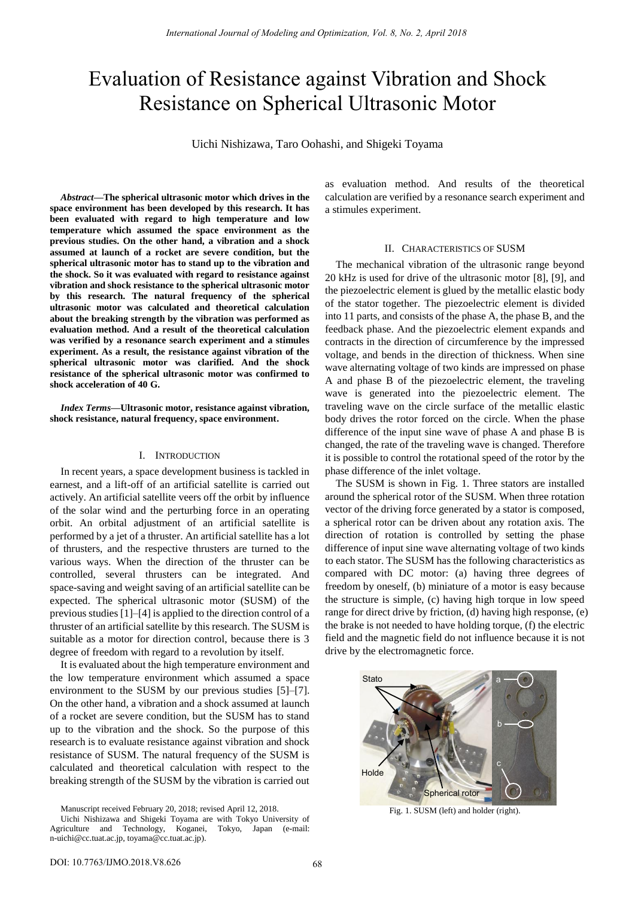# Evaluation of Resistance against Vibration and Shock Resistance on Spherical Ultrasonic Motor

Uichi Nishizawa, Taro Oohashi, and Shigeki Toyama

*Abstract***—The spherical ultrasonic motor which drives in the space environment has been developed by this research. It has been evaluated with regard to high temperature and low temperature which assumed the space environment as the previous studies. On the other hand, a vibration and a shock assumed at launch of a rocket are severe condition, but the spherical ultrasonic motor has to stand up to the vibration and the shock. So it was evaluated with regard to resistance against vibration and shock resistance to the spherical ultrasonic motor by this research. The natural frequency of the spherical ultrasonic motor was calculated and theoretical calculation about the breaking strength by the vibration was performed as evaluation method. And a result of the theoretical calculation was verified by a resonance search experiment and a stimules experiment. As a result, the resistance against vibration of the spherical ultrasonic motor was clarified. And the shock resistance of the spherical ultrasonic motor was confirmed to shock acceleration of 40 G.**

*Index Terms***—Ultrasonic motor, resistance against vibration, shock resistance, natural frequency, space environment.** 

#### I. INTRODUCTION

In recent years, a space development business is tackled in earnest, and a lift-off of an artificial satellite is carried out actively. An artificial satellite veers off the orbit by influence of the solar wind and the perturbing force in an operating orbit. An orbital adjustment of an artificial satellite is performed by a jet of a thruster. An artificial satellite has a lot of thrusters, and the respective thrusters are turned to the various ways. When the direction of the thruster can be controlled, several thrusters can be integrated. And space-saving and weight saving of an artificial satellite can be expected. The spherical ultrasonic motor (SUSM) of the previous studies [1]–[4] is applied to the direction control of a thruster of an artificial satellite by this research. The SUSM is suitable as a motor for direction control, because there is 3 degree of freedom with regard to a revolution by itself.

It is evaluated about the high temperature environment and the low temperature environment which assumed a space environment to the SUSM by our previous studies [5]–[7]. On the other hand, a vibration and a shock assumed at launch of a rocket are severe condition, but the SUSM has to stand up to the vibration and the shock. So the purpose of this research is to evaluate resistance against vibration and shock resistance of SUSM. The natural frequency of the SUSM is calculated and theoretical calculation with respect to the breaking strength of the SUSM by the vibration is carried out

Manuscript received February 20, 2018; revised April 12, 2018.

as evaluation method. And results of the theoretical calculation are verified by a resonance search experiment and a stimules experiment.

#### II. CHARACTERISTICS OF SUSM

The mechanical vibration of the ultrasonic range beyond 20 kHz is used for drive of the ultrasonic motor [8], [9], and the piezoelectric element is glued by the metallic elastic body of the stator together. The piezoelectric element is divided into 11 parts, and consists of the phase A, the phase B, and the feedback phase. And the piezoelectric element expands and contracts in the direction of circumference by the impressed voltage, and bends in the direction of thickness. When sine wave alternating voltage of two kinds are impressed on phase A and phase B of the piezoelectric element, the traveling wave is generated into the piezoelectric element. The traveling wave on the circle surface of the metallic elastic body drives the rotor forced on the circle. When the phase difference of the input sine wave of phase A and phase B is changed, the rate of the traveling wave is changed. Therefore it is possible to control the rotational speed of the rotor by the phase difference of the inlet voltage.

The SUSM is shown in Fig. 1. Three stators are installed around the spherical rotor of the SUSM. When three rotation vector of the driving force generated by a stator is composed, a spherical rotor can be driven about any rotation axis. The direction of rotation is controlled by setting the phase difference of input sine wave alternating voltage of two kinds to each stator. The SUSM has the following characteristics as compared with DC motor: (a) having three degrees of freedom by oneself, (b) miniature of a motor is easy because the structure is simple, (c) having high torque in low speed range for direct drive by friction, (d) having high response, (e) the brake is not needed to have holding torque, (f) the electric field and the magnetic field do not influence because it is not drive by the electromagnetic force.



Fig. 1. SUSM (left) and holder (right).

Uichi Nishizawa and Shigeki Toyama are with Tokyo University of Agriculture and Technology, Koganei, Tokyo, Japan (e-mail: n-uichi@cc.tuat.ac.jp, toyama@cc.tuat.ac.jp).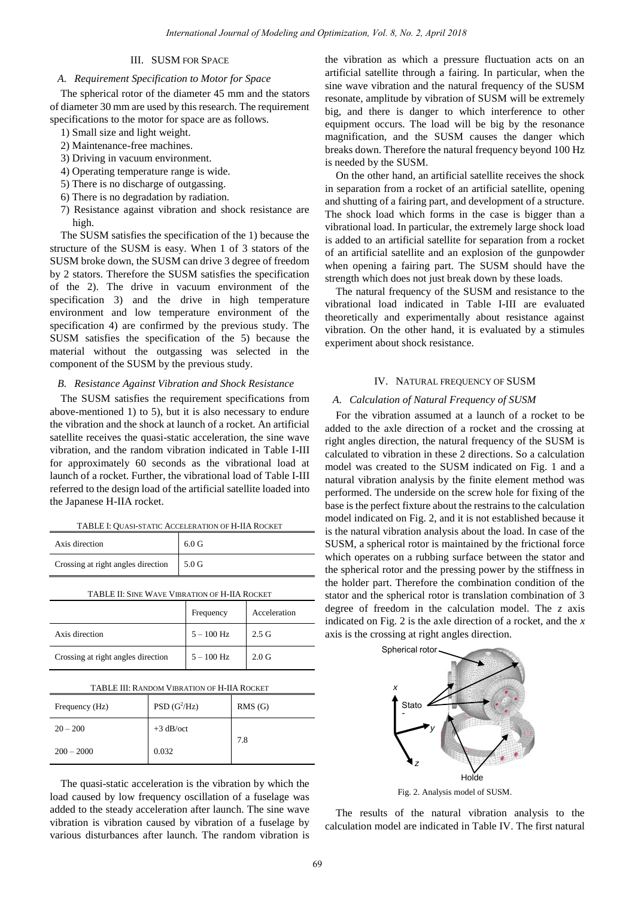## III. SUSM FOR SPACE

## *A. Requirement Specification to Motor for Space*

The spherical rotor of the diameter 45 mm and the stators of diameter 30 mm are used by this research. The requirement specifications to the motor for space are as follows.

- 1) Small size and light weight.
- 2) Maintenance-free machines.
- 3) Driving in vacuum environment.
- 4) Operating temperature range is wide.
- 5) There is no discharge of outgassing.
- 6) There is no degradation by radiation.
- 7) Resistance against vibration and shock resistance are high.

The SUSM satisfies the specification of the 1) because the structure of the SUSM is easy. When 1 of 3 stators of the SUSM broke down, the SUSM can drive 3 degree of freedom by 2 stators. Therefore the SUSM satisfies the specification of the 2). The drive in vacuum environment of the specification 3) and the drive in high temperature environment and low temperature environment of the specification 4) are confirmed by the previous study. The SUSM satisfies the specification of the 5) because the material without the outgassing was selected in the component of the SUSM by the previous study.

## *B. Resistance Against Vibration and Shock Resistance*

The SUSM satisfies the requirement specifications from above-mentioned 1) to 5), but it is also necessary to endure the vibration and the shock at launch of a rocket. An artificial satellite receives the quasi-static acceleration, the sine wave vibration, and the random vibration indicated in Table I-III for approximately 60 seconds as the vibrational load at launch of a rocket. Further, the vibrational load of Table I-III referred to the design load of the artificial satellite loaded into the Japanese H-IIA rocket.

| TABLE I: QUASI-STATIC ACCELERATION OF H-IIA ROCKET |
|----------------------------------------------------|
|----------------------------------------------------|

| Axis direction                           | 6.0 G |
|------------------------------------------|-------|
| Crossing at right angles direction 5.0 G |       |

| TABLE II: SINE WAVE VIBRATION OF H-IIA ROCKET |              |                  |  |
|-----------------------------------------------|--------------|------------------|--|
|                                               | Frequency    | Acceleration     |  |
| Axis direction                                | $5 - 100$ Hz | $2.5 \text{ G}$  |  |
| Crossing at right angles direction            | $5 - 100$ Hz | 2.0 <sub>G</sub> |  |

| Frequency (Hz) | $PSD(G^2/HZ)$ | RMS(G) |
|----------------|---------------|--------|
| $20 - 200$     | $+3$ dB/oct   | 7.8    |
| $200 - 2000$   | 0.032         |        |

The quasi-static acceleration is the vibration by which the load caused by low frequency oscillation of a fuselage was added to the steady acceleration after launch. The sine wave vibration is vibration caused by vibration of a fuselage by various disturbances after launch. The random vibration is

the vibration as which a pressure fluctuation acts on an artificial satellite through a fairing. In particular, when the sine wave vibration and the natural frequency of the SUSM resonate, amplitude by vibration of SUSM will be extremely big, and there is danger to which interference to other equipment occurs. The load will be big by the resonance magnification, and the SUSM causes the danger which breaks down. Therefore the natural frequency beyond 100 Hz is needed by the SUSM.

On the other hand, an artificial satellite receives the shock in separation from a rocket of an artificial satellite, opening and shutting of a fairing part, and development of a structure. The shock load which forms in the case is bigger than a vibrational load. In particular, the extremely large shock load is added to an artificial satellite for separation from a rocket of an artificial satellite and an explosion of the gunpowder when opening a fairing part. The SUSM should have the strength which does not just break down by these loads.

The natural frequency of the SUSM and resistance to the vibrational load indicated in Table I-III are evaluated theoretically and experimentally about resistance against vibration. On the other hand, it is evaluated by a stimules experiment about shock resistance.

## IV. NATURAL FREQUENCY OF SUSM

#### *A. Calculation of Natural Frequency of SUSM*

For the vibration assumed at a launch of a rocket to be added to the axle direction of a rocket and the crossing at right angles direction, the natural frequency of the SUSM is calculated to vibration in these 2 directions. So a calculation model was created to the SUSM indicated on Fig. 1 and a natural vibration analysis by the finite element method was performed. The underside on the screw hole for fixing of the base is the perfect fixture about the restrains to the calculation model indicated on Fig. 2, and it is not established because it is the natural vibration analysis about the load. In case of the SUSM, a spherical rotor is maintained by the frictional force which operates on a rubbing surface between the stator and the spherical rotor and the pressing power by the stiffness in the holder part. Therefore the combination condition of the stator and the spherical rotor is translation combination of 3 degree of freedom in the calculation model. The *z* axis indicated on Fig. 2 is the axle direction of a rocket, and the *x* axis is the crossing at right angles direction.



Fig. 2. Analysis model of SUSM.

The results of the natural vibration analysis to the calculation model are indicated in Table IV. The first natural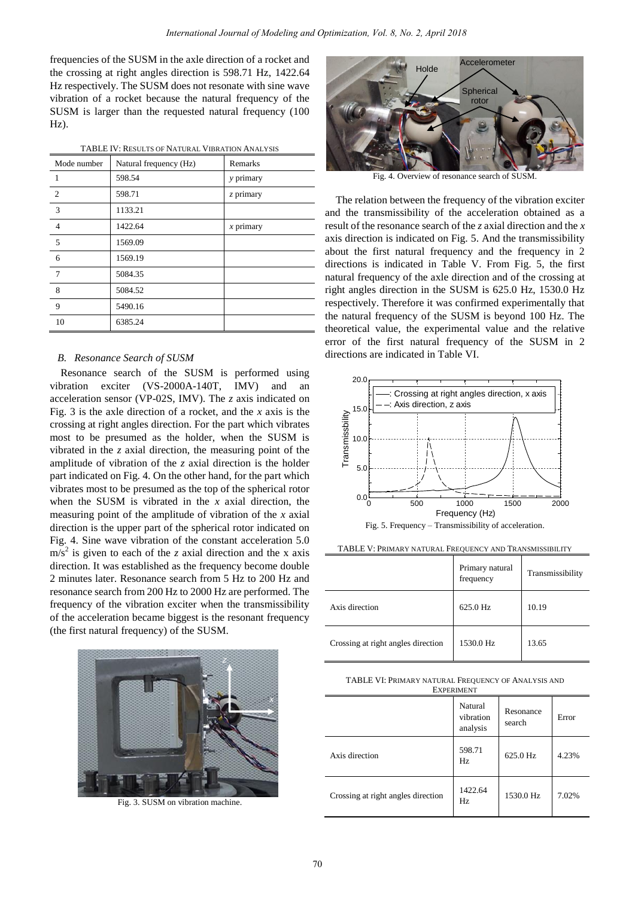frequencies of the SUSM in the axle direction of a rocket and the crossing at right angles direction is 598.71 Hz, 1422.64 Hz respectively. The SUSM does not resonate with sine wave vibration of a rocket because the natural frequency of the SUSM is larger than the requested natural frequency (100 Hz).

| TABLE IV: RESULTS OF NATURAL VIBRATION ANALYSIS |  |
|-------------------------------------------------|--|
|                                                 |  |

| Mode number     | Natural frequency (Hz) | Remarks     |
|-----------------|------------------------|-------------|
| 1               | 598.54                 | y primary   |
| 2               | 598.71                 | z primary   |
| 3               | 1133.21                |             |
| $\overline{4}$  | 1422.64                | $x$ primary |
| 5               | 1569.09                |             |
| 6               | 1569.19                |             |
| $7\phantom{.0}$ | 5084.35                |             |
| 8               | 5084.52                |             |
| 9               | 5490.16                |             |
| 10              | 6385.24                |             |

## *B. Resonance Search of SUSM*

Resonance search of the SUSM is performed using vibration exciter (VS-2000A-140T, IMV) and an acceleration sensor (VP-02S, IMV). The *z* axis indicated on Fig. 3 is the axle direction of a rocket, and the *x* axis is the crossing at right angles direction. For the part which vibrates most to be presumed as the holder, when the SUSM is vibrated in the *z* axial direction, the measuring point of the amplitude of vibration of the *z* axial direction is the holder part indicated on Fig. 4. On the other hand, for the part which vibrates most to be presumed as the top of the spherical rotor when the SUSM is vibrated in the *x* axial direction, the measuring point of the amplitude of vibration of the *x* axial direction is the upper part of the spherical rotor indicated on Fig. 4. Sine wave vibration of the constant acceleration 5.0  $\text{m/s}^2$  is given to each of the *z* axial direction and the *x* axis direction. It was established as the frequency become double 2 minutes later. Resonance search from 5 Hz to 200 Hz and resonance search from 200 Hz to 2000 Hz are performed. The frequency of the vibration exciter when the transmissibility of the acceleration became biggest is the resonant frequency (the first natural frequency) of the SUSM.



Fig. 3. SUSM on vibration machine.



Fig. 4. Overview of resonance search of SUSM.

The relation between the frequency of the vibration exciter and the transmissibility of the acceleration obtained as a result of the resonance search of the *z* axial direction and the *x* axis direction is indicated on Fig. 5. And the transmissibility about the first natural frequency and the frequency in 2 directions is indicated in Table V. From Fig. 5, the first natural frequency of the axle direction and of the crossing at right angles direction in the SUSM is 625.0 Hz, 1530.0 Hz respectively. Therefore it was confirmed experimentally that the natural frequency of the SUSM is beyond 100 Hz. The theoretical value, the experimental value and the relative error of the first natural frequency of the SUSM in 2 directions are indicated in Table VI.



TABLE V: PRIMARY NATURAL FREQUENCY AND TRANSMISSIBILITY

|                                    | Primary natural<br>frequency | Transmissibility |
|------------------------------------|------------------------------|------------------|
| Axis direction                     | 625.0 Hz                     | 10.19            |
| Crossing at right angles direction | 1530.0 Hz                    | 13.65            |

| TABLE VI: PRIMARY NATURAL FREQUENCY OF ANALYSIS AND |
|-----------------------------------------------------|
| <b>EXPERIMENT</b>                                   |

|                                    | Natural<br>vibration<br>analysis | Resonance<br>search | Error |
|------------------------------------|----------------------------------|---------------------|-------|
| Axis direction                     | 598.71<br>Hz                     | 625.0 Hz            | 4.23% |
| Crossing at right angles direction | 1422.64<br>Hz                    | 1530.0 Hz           | 7.02% |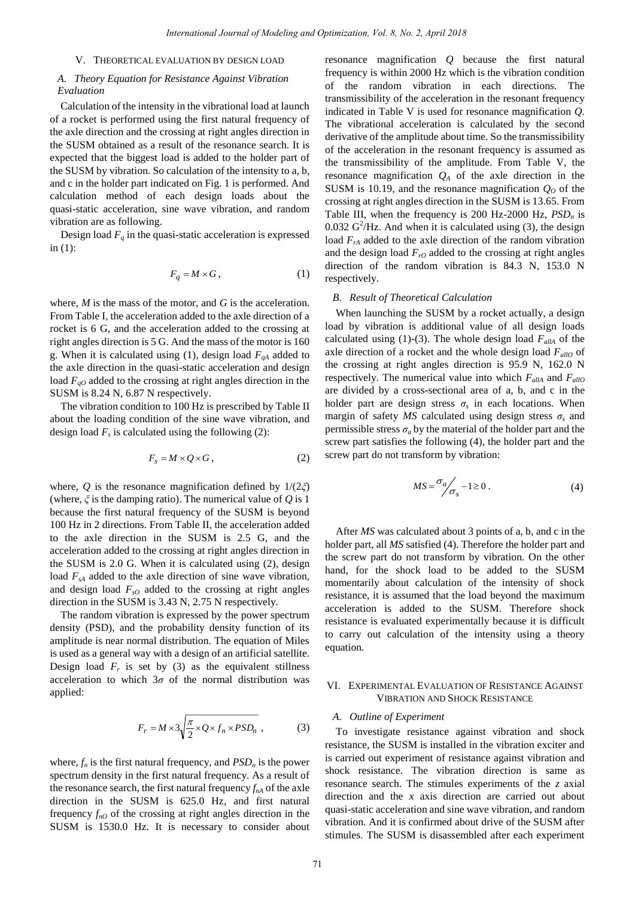#### V. THEORETICAL EVALUATION BY DESIGN LOAD

## *A. Theory Equation for Resistance Against Vibration Evaluation*

Calculation of the intensity in the vibrational load at launch of a rocket is performed using the first natural frequency of the axle direction and the crossing at right angles direction in the SUSM obtained as a result of the resonance search. It is expected that the biggest load is added to the holder part of the SUSM by vibration. So calculation of the intensity to a, b, and c in the holder part indicated on Fig. 1 is performed. And calculation method of each design loads about the quasi-static acceleration, sine wave vibration, and random vibration are as following.

Design load  $F_q$  in the quasi-static acceleration is expressed in (1):

$$
F_q = M \times G, \qquad (1)
$$

where, *M* is the mass of the motor, and *G* is the acceleration. From Table I, the acceleration added to the axle direction of a rocket is 6 G, and the acceleration added to the crossing at right angles direction is 5 G. And the mass of the motor is 160 g. When it is calculated using (1), design load *FqA* added to the axle direction in the quasi-static acceleration and design load *FqO* added to the crossing at right angles direction in the SUSM is 8.24 N, 6.87 N respectively.

The vibration condition to 100 Hz is prescribed by Table II about the loading condition of the sine wave vibration, and design load  $F_s$  is calculated using the following (2):

$$
F_s = M \times Q \times G \,,\tag{2}
$$

where, *Q* is the resonance magnification defined by  $1/(2\zeta)$ (where, *ξ* is the damping ratio). The numerical value of *Q* is 1 because the first natural frequency of the SUSM is beyond 100 Hz in 2 directions. From Table II, the acceleration added to the axle direction in the SUSM is 2.5 G, and the acceleration added to the crossing at right angles direction in the SUSM is 2.0 G. When it is calculated using (2), design load  $F<sub>sA</sub>$  added to the axle direction of sine wave vibration, and design load  $F<sub>sO</sub>$  added to the crossing at right angles direction in the SUSM is 3.43 N, 2.75 N respectively.

The random vibration is expressed by the power spectrum density (PSD), and the probability density function of its amplitude is near normal distribution. The equation of Miles is used as a general way with a design of an artificial satellite. Design load  $F_r$  is set by (3) as the equivalent stillness acceleration to which  $3\sigma$  of the normal distribution was applied:

$$
F_r = M \times 3 \sqrt{\frac{\pi}{2} \times Q \times f_n \times PSD_n} \tag{3}
$$

where,  $f_n$  is the first natural frequency, and  $PSD_n$  is the power spectrum density in the first natural frequency. As a result of the resonance search, the first natural frequency  $f_{nA}$  of the axle direction in the SUSM is 625.0 Hz, and first natural frequency  $f_{nQ}$  of the crossing at right angles direction in the SUSM is 1530.0 Hz. It is necessary to consider about

resonance magnification *Q* because the first natural frequency is within 2000 Hz which is the vibration condition of the random vibration in each directions. The transmissibility of the acceleration in the resonant frequency indicated in Table V is used for resonance magnification *Q*. The vibrational acceleration is calculated by the second derivative of the amplitude about time. So the transmissibility of the acceleration in the resonant frequency is assumed as the transmissibility of the amplitude. From Table V, the resonance magnification  $Q_A$  of the axle direction in the SUSM is 10.19, and the resonance magnification  $Q<sub>0</sub>$  of the crossing at right angles direction in the SUSM is 13.65. From Table III, when the frequency is 200 Hz-2000 Hz, *PSDn* is 0.032  $G^2$ /Hz. And when it is calculated using (3), the design load  $F<sub>PA</sub>$  added to the axle direction of the random vibration and the design load  $F_{rQ}$  added to the crossing at right angles direction of the random vibration is 84.3 N, 153.0 N respectively.

#### *B. Result of Theoretical Calculation*

When launching the SUSM by a rocket actually, a design load by vibration is additional value of all design loads calculated using (1)-(3). The whole design load  $F_{\text{allA}}$  of the axle direction of a rocket and the whole design load  $F_{\alpha l l}$  of the crossing at right angles direction is 95.9 N, 162.0 N respectively. The numerical value into which  $F_{\text{allA}}$  and  $F_{\text{allO}}$ are divided by a cross-sectional area of a, b, and c in the holder part are design stress  $\sigma_s$  in each locations. When margin of safety  $MS$  calculated using design stress  $\sigma_s$  and permissible stress  $\sigma_a$  by the material of the holder part and the screw part satisfies the following (4), the holder part and the screw part do not transform by vibration:

$$
MS = \frac{\sigma_a}{\sigma_s} - 1 \ge 0. \tag{4}
$$

After *MS* was calculated about 3 points of a, b, and c in the holder part, all *MS* satisfied (4). Therefore the holder part and the screw part do not transform by vibration. On the other hand, for the shock load to be added to the SUSM momentarily about calculation of the intensity of shock resistance, it is assumed that the load beyond the maximum acceleration is added to the SUSM. Therefore shock resistance is evaluated experimentally because it is difficult to carry out calculation of the intensity using a theory equation.

## VI. EXPERIMENTAL EVALUATION OF RESISTANCE AGAINST VIBRATION AND SHOCK RESISTANCE

## *A. Outline of Experiment*

To investigate resistance against vibration and shock resistance, the SUSM is installed in the vibration exciter and is carried out experiment of resistance against vibration and shock resistance. The vibration direction is same as resonance search. The stimules experiments of the *z* axial direction and the *x* axis direction are carried out about quasi-static acceleration and sine wave vibration, and random vibration. And it is confirmed about drive of the SUSM after stimules. The SUSM is disassembled after each experiment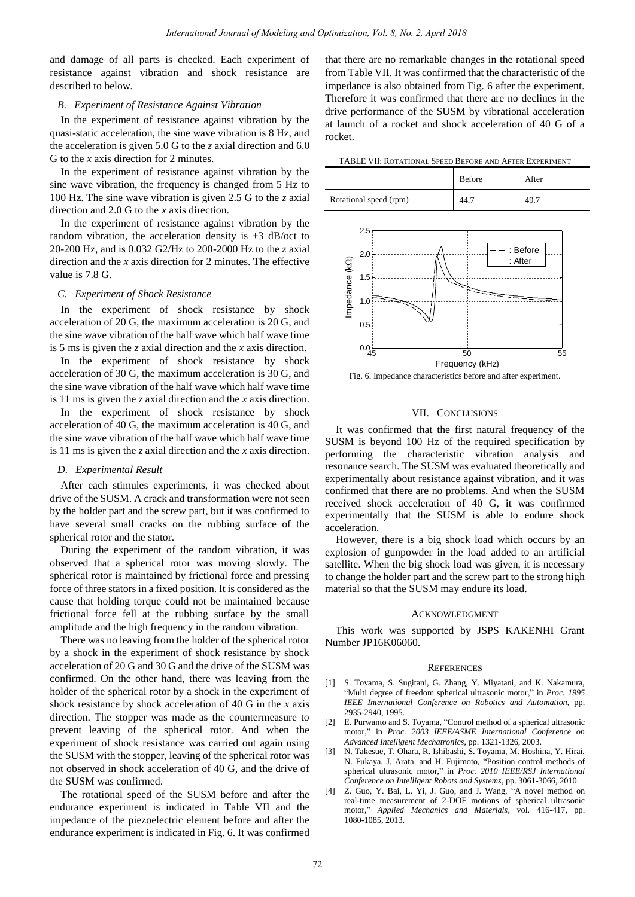and damage of all parts is checked. Each experiment of resistance against vibration and shock resistance are described to below.

## *B. Experiment of Resistance Against Vibration*

In the experiment of resistance against vibration by the quasi-static acceleration, the sine wave vibration is 8 Hz, and the acceleration is given 5.0 G to the *z* axial direction and 6.0 G to the *x* axis direction for 2 minutes.

In the experiment of resistance against vibration by the sine wave vibration, the frequency is changed from 5 Hz to 100 Hz. The sine wave vibration is given 2.5 G to the *z* axial direction and 2.0 G to the *x* axis direction.

In the experiment of resistance against vibration by the random vibration, the acceleration density is  $+3$  dB/oct to 20-200 Hz, and is 0.032 G2/Hz to 200-2000 Hz to the *z* axial direction and the *x* axis direction for 2 minutes. The effective value is 7.8 G.

#### *C. Experiment of Shock Resistance*

In the experiment of shock resistance by shock acceleration of 20 G, the maximum acceleration is 20 G, and the sine wave vibration of the half wave which half wave time is 5 ms is given the *z* axial direction and the *x* axis direction.

In the experiment of shock resistance by shock acceleration of 30 G, the maximum acceleration is 30 G, and the sine wave vibration of the half wave which half wave time is 11 ms is given the *z* axial direction and the *x* axis direction.

In the experiment of shock resistance by shock acceleration of 40 G, the maximum acceleration is 40 G, and the sine wave vibration of the half wave which half wave time is 11 ms is given the *z* axial direction and the *x* axis direction.

#### *D. Experimental Result*

After each stimules experiments, it was checked about drive of the SUSM. A crack and transformation were not seen by the holder part and the screw part, but it was confirmed to have several small cracks on the rubbing surface of the spherical rotor and the stator.

During the experiment of the random vibration, it was observed that a spherical rotor was moving slowly. The spherical rotor is maintained by frictional force and pressing force of three stators in a fixed position. It is considered as the cause that holding torque could not be maintained because frictional force fell at the rubbing surface by the small amplitude and the high frequency in the random vibration.

There was no leaving from the holder of the spherical rotor by a shock in the experiment of shock resistance by shock acceleration of 20 G and 30 G and the drive of the SUSM was confirmed. On the other hand, there was leaving from the holder of the spherical rotor by a shock in the experiment of shock resistance by shock acceleration of 40 G in the *x* axis direction. The stopper was made as the countermeasure to prevent leaving of the spherical rotor. And when the experiment of shock resistance was carried out again using the SUSM with the stopper, leaving of the spherical rotor was not observed in shock acceleration of 40 G, and the drive of the SUSM was confirmed.

The rotational speed of the SUSM before and after the endurance experiment is indicated in Table VII and the impedance of the piezoelectric element before and after the endurance experiment is indicated in Fig. 6. It was confirmed

that there are no remarkable changes in the rotational speed from Table VII. It was confirmed that the characteristic of the impedance is also obtained from Fig. 6 after the experiment. Therefore it was confirmed that there are no declines in the drive performance of the SUSM by vibrational acceleration at launch of a rocket and shock acceleration of 40 G of a rocket.

TABLE VII: ROTATIONAL SPEED BEFORE AND AFTER EXPERIMENT

|                        | <b>Before</b> | After |
|------------------------|---------------|-------|
| Rotational speed (rpm) | 44.1          | 49.7  |



Fig. 6. Impedance characteristics before and after experiment.

## VII. CONCLUSIONS

It was confirmed that the first natural frequency of the SUSM is beyond 100 Hz of the required specification by performing the characteristic vibration analysis and resonance search. The SUSM was evaluated theoretically and experimentally about resistance against vibration, and it was confirmed that there are no problems. And when the SUSM received shock acceleration of 40 G, it was confirmed experimentally that the SUSM is able to endure shock acceleration.

However, there is a big shock load which occurs by an explosion of gunpowder in the load added to an artificial satellite. When the big shock load was given, it is necessary to change the holder part and the screw part to the strong high material so that the SUSM may endure its load.

#### ACKNOWLEDGMENT

This work was supported by JSPS KAKENHI Grant Number JP16K06060.

#### **REFERENCES**

- [1] S. Toyama, S. Sugitani, G. Zhang, Y. Miyatani, and K. Nakamura, "Multi degree of freedom spherical ultrasonic motor," in *Proc. 1995 IEEE International Conference on Robotics and Automation*, pp. 2935-2940, 1995.
- [2] E. Purwanto and S. Toyama, "Control method of a spherical ultrasonic motor," in *Proc. 2003 IEEE/ASME International Conference on Advanced Intelligent Mechatronics*, pp. 1321-1326, 2003.
- [3] N. Takesue, T. Ohara, R. Ishibashi, S. Toyama, M. Hoshina, Y. Hirai, N. Fukaya, J. Arata, and H. Fujimoto, "Position control methods of spherical ultrasonic motor," in *Proc. 2010 IEEE/RSJ International Conference on Intelligent Robots and Systems*, pp. 3061-3066, 2010.
- [4] Z. Guo, Y. Bai, L. Yi, J. Guo, and J. Wang, "A novel method on real-time measurement of 2-DOF motions of spherical ultrasonic motor," *Applied Mechanics and Materials*, vol. 416-417, pp. 1080-1085, 2013.